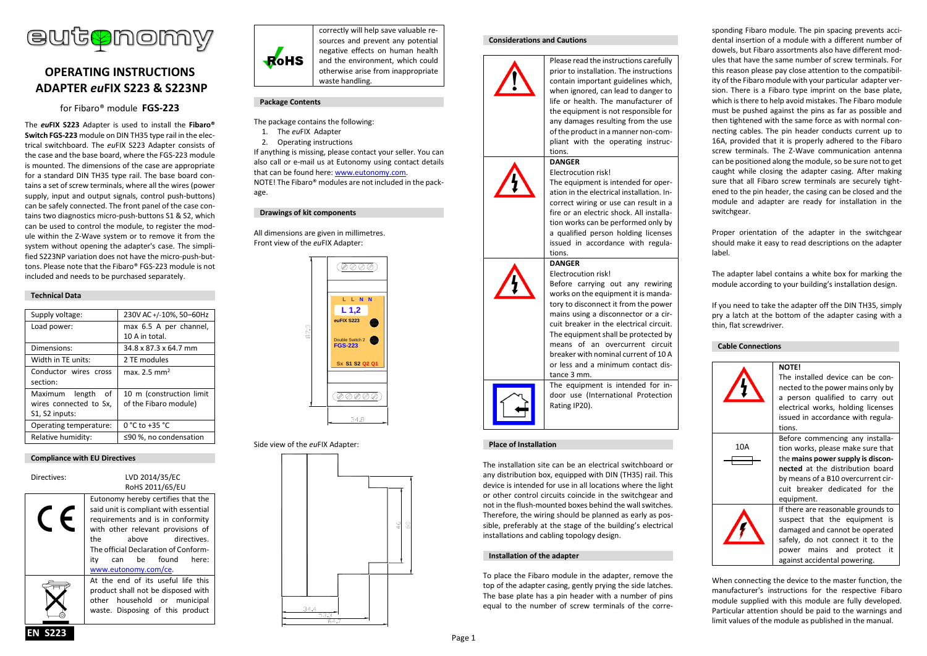

# **OPERATING INSTRUCTIONS ADAPTER** *eu***FIX S223 & S223NP**

for Fibaro® module **FGS-223**

The *eu***FIX S223** Adapter is used to install the **Fibaro® Switch FGS-223** module on DIN TH35 type rail in the electrical switchboard. The *eu*FIX S223 Adapter consists of the case and the base board, where the FGS-223 module is mounted. The dimensions of the case are appropriate for a standard DIN TH35 type rail. The base board contains a set of screw terminals, where all the wires (power supply, input and output signals, control push-buttons) can be safely connected. The front panel of the case contains two diagnostics micro-push-buttons S1 & S2, which can be used to control the module, to register the module within the Z-Wave system or to remove it from the system without opening the adapter's case. The simplified S223NP variation does not have the micro-push-buttons. Please note that the Fibaro® FGS-223 module is not included and needs to be purchased separately.

# **Technical Data**

| Supply voltage:        | 230V AC +/-10%, 50-60Hz   |
|------------------------|---------------------------|
| Load power:            | max 6.5 A per channel,    |
|                        | 10 A in total.            |
| Dimensions:            | 34.8 x 87.3 x 64.7 mm     |
| Width in TE units:     | 2 TE modules              |
| Conductor wires cross  | max. 2.5 mm <sup>2</sup>  |
| section:               |                           |
| Maximum length of      | 10 m (construction limit) |
| wires connected to Sx, | of the Fibaro module)     |
| S1, S2 inputs:         |                           |
| Operating temperature: | $0 °C$ to +35 $°C$        |
| Relative humidity:     | ≤90 %, no condensation    |



| Directives: | LVD 2014/35/EC<br>RoHS 2011/65/EU                                                                                                                                                                                                                                                    |
|-------------|--------------------------------------------------------------------------------------------------------------------------------------------------------------------------------------------------------------------------------------------------------------------------------------|
|             | Eutonomy hereby certifies that the<br>said unit is compliant with essential<br>requirements and is in conformity<br>with other relevant provisions of<br>directives.<br>the<br>above<br>The official Declaration of Conform-<br>can be found<br>ity<br>here:<br>www.eutonomy.com/ce. |
|             | At the end of its useful life this<br>product shall not be disposed with<br>other household or municipal<br>waste. Disposing of this product                                                                                                                                         |



correctly will help save valuable resources and prevent any potential negative effects on human health and the environment, which could otherwise arise from inappropriate waste handling.

# **Package Contents**

- The package contains the following:
- 1. The *eu*FIX Adapter
- 2. Operating instructions

If anything is missing, please contact your seller. You can also call or e-mail us at Eutonomy using contact details that can be found here: [www.eutonomy.com.](http://www.eutonomy.com/) NOTE! The Fibaro® modules are not included in the package.

## **Drawings of kit components**

All dimensions are given in millimetres. Front view of the *eu*FIX Adapter:



# Side view of the *eu*FIX Adapter:



## **Considerations and Cautions**



prior to installation. The instructions contain important guidelines which, when ignored, can lead to danger to life or health. The manufacturer of the equipment is not responsible for any damages resulting from the use of the product in a manner non-compliant with the operating instructions.

Please read the instructions carefully

## **DANGER** Electrocution risk!

The equipment is intended for operation in the electrical installation. Incorrect wiring or use can result in a fire or an electric shock. All installation works can be performed only by a qualified person holding licenses issued in accordance with regulations.

Before carrying out any rewiring works on the equipment it is mandatory to disconnect it from the power mains using a disconnector or a circuit breaker in the electrical circuit. The equipment shall be protected by means of an overcurrent circuit breaker with nominal current of 10 A or less and a minimum contact dis-

## **DANGER** Electrocution risk!





The equipment is intended for indoor use (International Protection Rating IP20).

tance 3 mm.

# **Place of Installation**

The installation site can be an electrical switchboard or any distribution box, equipped with DIN (TH35) rail. This device is intended for use in all locations where the light or other control circuits coincide in the switchgear and not in the flush-mounted boxes behind the wall switches. Therefore, the wiring should be planned as early as possible, preferably at the stage of the building's electrical installations and cabling topology design.

## **Installation of the adapter**

To place the Fibaro module in the adapter, remove the top of the adapter casing, gently prying the side latches. The base plate has a pin header with a number of pins equal to the number of screw terminals of the corresponding Fibaro module. The pin spacing prevents accidental insertion of a module with a different number of dowels, but Fibaro assortments also have different modules that have the same number of screw terminals. For this reason please pay close attention to the compatibility of the Fibaro module with your particular adapter version. There is a Fibaro type imprint on the base plate, which is there to help avoid mistakes. The Fibaro module must be pushed against the pins as far as possible and then tightened with the same force as with normal connecting cables. The pin header conducts current up to 16A, provided that it is properly adhered to the Fibaro screw terminals. The Z-Wave communication antenna can be positioned along the module, so be sure not to get caught while closing the adapter casing. After making sure that all Fibaro screw terminals are securely tightened to the pin header, the casing can be closed and the module and adapter are ready for installation in the switchgear.

Proper orientation of the adapter in the switchgear should make it easy to read descriptions on the adapter label.

The adapter label contains a white box for marking the module according to your building's installation design.

If you need to take the adapter off the DIN TH35, simply pry a latch at the bottom of the adapter casing with a thin, flat screwdriver.

# **Cable Connections**



When connecting the device to the master function, the manufacturer's instructions for the respective Fibaro module supplied with this module are fully developed. Particular attention should be paid to the warnings and limit values of the module as published in the manual.